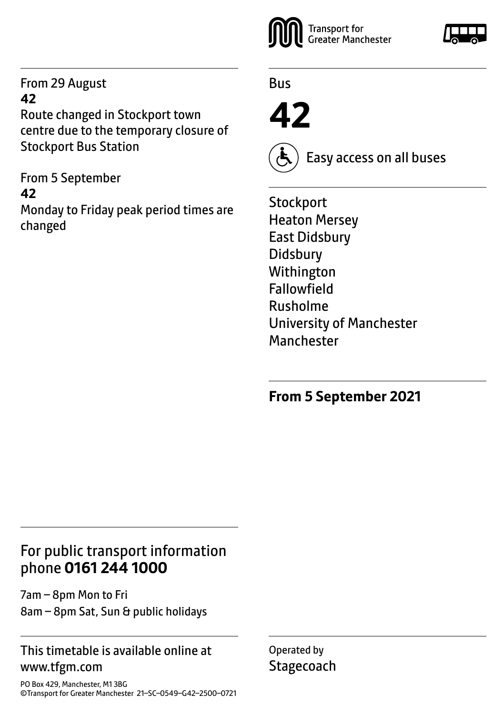From 29 August **42** 

Route changed in Stockport town centre due to the temporary closure of Stockport Bus Station

From 5 September **42** Monday to Friday peak period times are changed



Bus

**42**



Easy access on all buses

**Stockport** Heaton Mersey East Didsbury Didsbury Withington Fallowfield Rusholme University of Manchester **Manchester** 

# **From 5 September 2021**

# For public transport information phone **0161 244 1000**

7am – 8pm Mon to Fri 8am – 8pm Sat, Sun & public holidays

### This timetable is available online at www.tfgm.com

PO Box 429, Manchester, M1 3BG ©Transport for Greater Manchester 21–SC–0549–G42–2500–0721 Operated by **Stagecoach**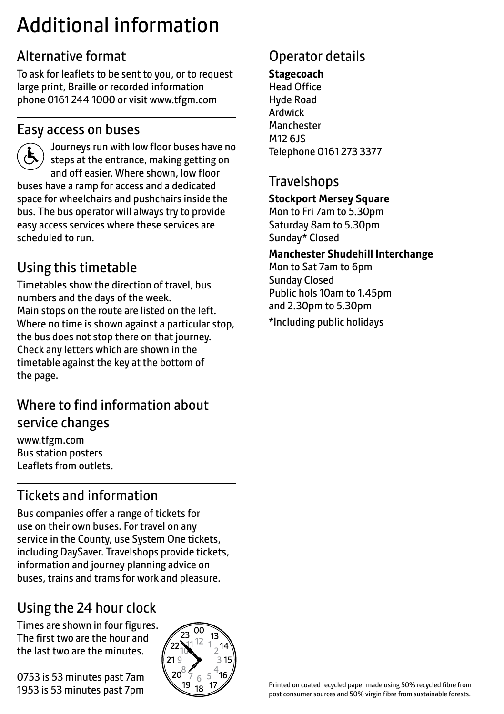# Additional information

# Alternative format

To ask for leaflets to be sent to you, or to request large print, Braille or recorded information phone 0161 244 1000 or visit www.tfgm.com

### Easy access on buses



 Journeys run with low floor buses have no steps at the entrance, making getting on and off easier. Where shown, low floor buses have a ramp for access and a dedicated space for wheelchairs and pushchairs inside the bus. The bus operator will always try to provide easy access services where these services are scheduled to run.

# Using this timetable

Timetables show the direction of travel, bus numbers and the days of the week. Main stops on the route are listed on the left. Where no time is shown against a particular stop, the bus does not stop there on that journey. Check any letters which are shown in the timetable against the key at the bottom of the page.

# Where to find information about service changes

www.tfgm.com Bus station posters Leaflets from outlets.

# Tickets and information

Bus companies offer a range of tickets for use on their own buses. For travel on any service in the County, use System One tickets, including DaySaver. Travelshops provide tickets, information and journey planning advice on buses, trains and trams for work and pleasure.

# Using the 24 hour clock

Times are shown in four figures. The first two are the hour and the last two are the minutes.

0753 is 53 minutes past 7am 1953 is 53 minutes past 7pm



# Operator details

**Stagecoach** Head Office Hyde Road Ardwick **Manchester** M12 6JS Telephone 0161 273 3377

### **Travelshops**

#### **Stockport Mersey Square**

Mon to Fri 7am to 5.30pm Saturday 8am to 5.30pm Sunday\* Closed

#### **Manchester Shudehill Interchange**

Mon to Sat 7am to 6pm Sunday Closed Public hols 10am to 1.45pm and 2.30pm to 5.30pm

\*Including public holidays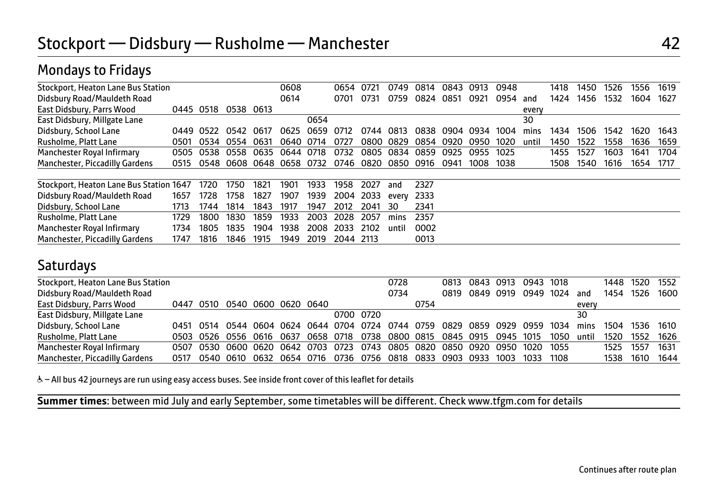## Mondays to Fridays

| Stockport, Heaton Lane Bus Station      |      |      |                     |       | 0608 |      | 0654 |        | 0749  | 0814      | 0843      | 0913 | 0948 |       | 1418 | 1450 | 1526 | 1556 | 1619 |
|-----------------------------------------|------|------|---------------------|-------|------|------|------|--------|-------|-----------|-----------|------|------|-------|------|------|------|------|------|
| Didsbury Road/Mauldeth Road             |      |      |                     |       | 0614 |      | 0701 | 0731   | 0759  | 0824 0851 |           | 0921 | 0954 | and   | 1424 | 1456 | 1532 | 1604 | 1627 |
| East Didsbury, Parrs Wood               | 0445 | 0518 | 0538 0613           |       |      |      |      |        |       |           |           |      |      | every |      |      |      |      |      |
| East Didsbury, Millgate Lane            |      |      |                     |       |      | 0654 |      |        |       |           |           |      |      | 30    |      |      |      |      |      |
| Didsbury, School Lane                   | 0449 | 0522 | 0542                | -0617 | 0625 | 0659 | O712 | 0744   | 0813  | 0838      | 0904      | 0934 | 1004 | mins  | 1434 | 1506 | 1542 | 1620 | 1643 |
| Rusholme, Platt Lane                    | 0501 | 0534 | 0554                | 0631  | 0640 | 0714 | 0727 | 0800   | 0829  |           | 0854 0920 | 0950 | 1020 | until | 1450 | 1522 | 1558 | 1636 | 1659 |
| Manchester Royal Infirmary              | 0505 | 0538 | 0558                | 0635  | 0644 | 0718 | 0732 | 0805   | 0834  | 0859      | 0925      | 0955 | 1025 |       | 1455 | 1527 | 1603 | 1641 | 1704 |
| Manchester, Piccadilly Gardens          | 0515 | 0548 | 0608 0648 0658 0732 |       |      |      | 0746 | 0820   | 0850  | . በ916    | 0941      | 1008 | 1038 |       | 1508 | 1540 | 1616 | 1654 | 1717 |
|                                         |      |      |                     |       |      |      |      |        |       |           |           |      |      |       |      |      |      |      |      |
| Stockport, Heaton Lane Bus Station 1647 |      | 1720 | 1750                | 1821  | 1901 | 1933 | 1958 | 2027   | and   | 2327      |           |      |      |       |      |      |      |      |      |
| Didsbury Road/Mauldeth Road             | 1657 | 1728 | 1758                | 1827  | 1907 | 1939 | 2004 | 2033   | every | 2333      |           |      |      |       |      |      |      |      |      |
| Didsbury, School Lane                   | 1713 | 1744 | 1814                | 1843  | 1917 | 1947 | 2012 | 2041   | 30    | 2341      |           |      |      |       |      |      |      |      |      |
| Rusholme, Platt Lane                    | 1729 | 1800 | 1830                | 1859  | 1933 | 2003 | 2028 | 2057   | mins  | 2357      |           |      |      |       |      |      |      |      |      |
| Manchester Royal Infirmary              | 1734 | 1805 | 1835                | 1904  | 1938 | 2008 | 2033 | 2102   | until | 0002      |           |      |      |       |      |      |      |      |      |
| Manchester, Piccadilly Gardens          | 1747 | 1816 | 1846                | 1915  | 1949 | 2019 | 2044 | - 2113 |       | 0013      |           |      |      |       |      |      |      |      |      |

### **Saturdays**

Ī

| Stockport, Heaton Lane Bus Station |           |                     |  |                                                                  |           | 0728 |      |                               | 0813 0843 0913 0943 1018 |      |      |       |      | 1448 1520 | 1552   |
|------------------------------------|-----------|---------------------|--|------------------------------------------------------------------|-----------|------|------|-------------------------------|--------------------------|------|------|-------|------|-----------|--------|
| Didsbury Road/Mauldeth Road        |           |                     |  |                                                                  |           | 0734 |      | 0819                          | 0849 0919                | 0949 | 1024 | and   | 1454 | 1526      | 1600   |
| East Didsbury, Parrs Wood          | 0447 0510 | 0540 0600 0620 0640 |  |                                                                  |           |      | 0754 |                               |                          |      |      | every |      |           |        |
| East Didsbury, Millgate Lane       |           |                     |  |                                                                  | 0700 0720 |      |      |                               |                          |      |      | 30    |      |           |        |
| Didsbury, School Lane              |           |                     |  | 0451 0514 0544 0604 0624 0644 0704 0724                          |           |      |      | 0744 0759 0829 0859 0929 0959 |                          |      | 1034 | mins  | 1504 | 1536 1610 |        |
| Rusholme, Platt Lane               |           |                     |  | 0503 0526 0556 0616 0637 0658 0718 0738                          |           |      |      | 0800 0815 0845 0915 0945 1015 |                          |      | 1050 | until | 1520 | 1552      | - 1626 |
| Manchester Royal Infirmary         | 0507      |                     |  | 0530 0600 0620 0642 0703 0723 0743 0805 0820 0850 0920 0950 1020 |           |      |      |                               |                          |      | 1055 |       | 1525 | 1557      | 1631   |
| Manchester, Piccadilly Gardens     | 0517      |                     |  | 0540 0610 0632 0654 0716 0736 0756                               |           |      |      | 0818 0833 0903 0933 1003      |                          | 1033 | 1108 |       | 1538 | 1610      | 1644   |
|                                    |           |                     |  |                                                                  |           |      |      |                               |                          |      |      |       |      |           |        |

& - All bus 42 journeys are run using easy access buses. See inside front cover of this leaflet for details

**Summer times**: between mid July and early September, some timetables will be different. Check www.tfgm.com for details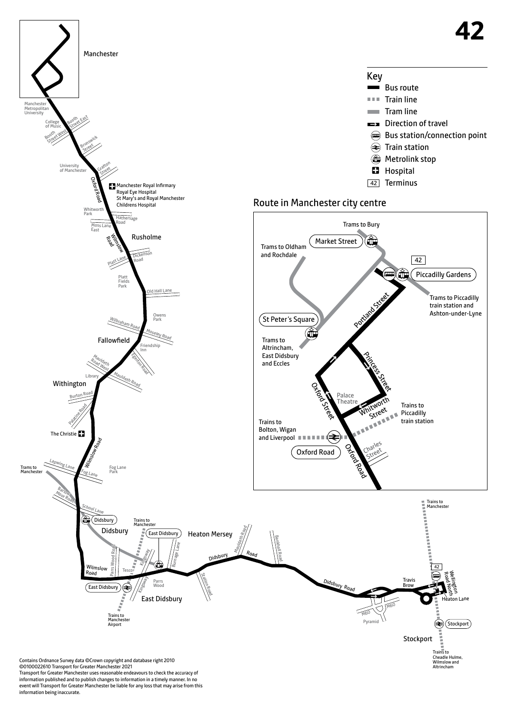

Contains Ordnance Survey data ©Crown copyright and database right 2010 ©0100022610 Transport for Greater Manchester 2021 Transport for Greater Manchester uses reasonable endeavours to check the accuracy of information published and to publish changes to information in a timely manner. In no event will Transport for Greater Manchester be liable for any loss that may arise from this information being inaccurate.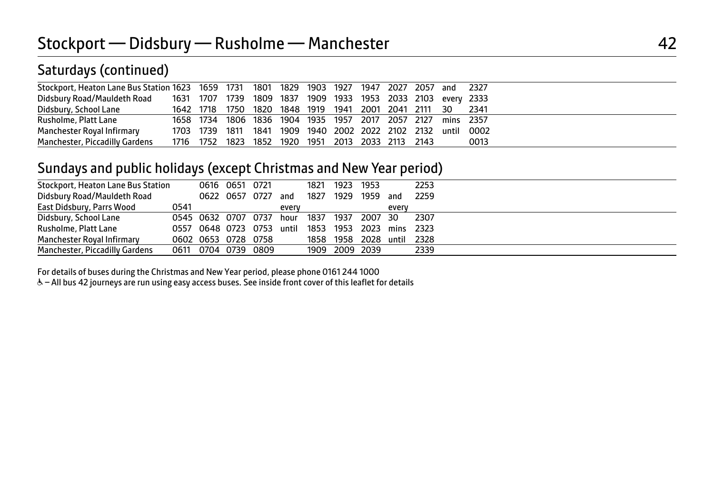# Saturdays (continued)

| Stockport, Heaton Lane Bus Station 1623 1659 1731 1801 1829 1903 1927 1947 2027 2057 and 2327 |  |                                                             |  |  |  |  |                                                              |
|-----------------------------------------------------------------------------------------------|--|-------------------------------------------------------------|--|--|--|--|--------------------------------------------------------------|
| Didsbury Road/Mauldeth Road 1631 1707 1739 1809 1837 1909 1933 1953 2033 2103 every 2333      |  |                                                             |  |  |  |  |                                                              |
| Didsbury, School Lane                                                                         |  | 1642 1718 1750 1820 1848 1919 1941 2001 2041 2111 30        |  |  |  |  | 2341                                                         |
| Rusholme, Platt Lane                                                                          |  | 1658 1734 1806 1836 1904 1935 1957 2017 2057 2127 mins 2357 |  |  |  |  |                                                              |
| Manchester Royal Infirmary                                                                    |  |                                                             |  |  |  |  | 1703 1739 1811 1841 1909 1940 2002 2022 2102 2132 until 0002 |
| Manchester, Piccadilly Gardens                                                                |  | 1716 1752 1823 1852 1920 1951 2013 2033 2113 2143           |  |  |  |  | 0013                                                         |
|                                                                                               |  |                                                             |  |  |  |  |                                                              |

## Sundays and public holidays (except Christmas and New Year period)

| Stockport, Heaton Lane Bus Station |      |                                                    | 0616 0651 0721 |       |      | 1821 1923 1953 |                           |       | 2253 |  |  |  |  |
|------------------------------------|------|----------------------------------------------------|----------------|-------|------|----------------|---------------------------|-------|------|--|--|--|--|
| Didsbury Road/Mauldeth Road        |      |                                                    | 0622 0657 0727 | and   | 1827 |                | 1929 1959 and             |       | 2259 |  |  |  |  |
| East Didsbury, Parrs Wood          | 0541 |                                                    |                | every |      |                |                           | every |      |  |  |  |  |
| Didsbury, School Lane              |      | 0545 0632 0707 0737                                |                | hour  |      |                | 1837 1937 2007 30         |       | 2307 |  |  |  |  |
| Rusholme, Platt Lane               |      | 0557 0648 0723 0753 until 1853 1953 2023 mins 2323 |                |       |      |                |                           |       |      |  |  |  |  |
| <b>Manchester Roval Infirmary</b>  |      | 0602 0653 0728 0758                                |                |       |      |                | 1858 1958 2028 until 2328 |       |      |  |  |  |  |
| Manchester, Piccadilly Gardens     |      | 0611 0704 0739 0809                                |                |       |      |                | 1909 2009 2039            |       | 2339 |  |  |  |  |
|                                    |      |                                                    |                |       |      |                |                           |       |      |  |  |  |  |

For details of buses during the Christmas and New Year period, please phone 0161 244 1000

& - All bus 42 journeys are run using easy access buses. See inside front cover of this leaflet for details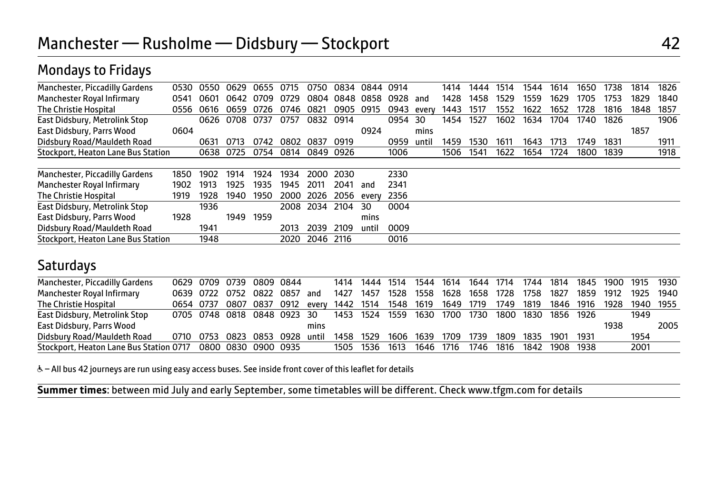# Mondays to Fridays

| Manchester, Piccadilly Gardens     | 0530 | 0550      | በ629 | 0655 |      | 0750      | 0834 | 0844  | 0914 |       | 1414 | 1444 | 1514 | 1544 | 1614 | 1650 | 1738 | 1814 | 1826 |
|------------------------------------|------|-----------|------|------|------|-----------|------|-------|------|-------|------|------|------|------|------|------|------|------|------|
| Manchester Royal Infirmary         | 0541 | 0601      | 0642 | 0709 | 0729 | 0804      | 0848 | 0858  | 0928 | and   | 1428 | 1458 | 1529 | 1559 | 1629 | 1705 | 1753 | 1829 | 1840 |
| The Christie Hospital              | 0556 | 0616      | 0659 | 0726 | 0746 | 0821      | 0905 | 0915  | 0943 | every | 1443 | 1517 | 1552 | 1622 | 1652 | 1728 | 1816 | 1848 | 1857 |
| East Didsbury, Metrolink Stop      |      | 0626      | 0708 | 0737 | 0757 | 0832      | 0914 |       | 0954 | 30    | 1454 | 1527 | 1602 | 1634 | 1704 | 1740 | 1826 |      | 1906 |
| East Didsbury, Parrs Wood          | 0604 |           |      |      |      |           |      | 0924  |      | mins  |      |      |      |      |      |      |      | 1857 |      |
| Didsbury Road/Mauldeth Road        |      | 0631      | 0713 | 0742 | 0802 | 0837      | 0919 |       | 0959 | until | 1459 | 1530 | 161  | 1643 | 1713 | 1749 | 1831 |      | 1911 |
| Stockport, Heaton Lane Bus Station |      | 0638 0725 |      | 0754 | 0814 | 0849 0926 |      |       | 1006 |       | 1506 | 1541 | 1622 | 1654 | 1724 | 1800 | 1839 |      | 1918 |
|                                    |      |           |      |      |      |           |      |       |      |       |      |      |      |      |      |      |      |      |      |
| Manchester, Piccadilly Gardens     | 1850 | 1902      | 1914 | 1924 | 1934 | 2000      | 2030 |       | 2330 |       |      |      |      |      |      |      |      |      |      |
| Manchester Royal Infirmary         | 1902 | 1913      | 1925 | 1935 | 1945 | 2011      | 2041 | and   | 2341 |       |      |      |      |      |      |      |      |      |      |
| <b>The Christie Hospital</b>       | 1919 | 1928      | 1940 | 1950 | 2000 | 2026      | 2056 | every | 2356 |       |      |      |      |      |      |      |      |      |      |
| East Didsbury, Metrolink Stop      |      | 1936      |      |      | 2008 | 2034      | 2104 | 30    | 0004 |       |      |      |      |      |      |      |      |      |      |
| East Didsbury, Parrs Wood          | 1928 |           | 1949 | 1959 |      |           |      | mins  |      |       |      |      |      |      |      |      |      |      |      |
| Didsbury Road/Mauldeth Road        |      | 1941      |      |      | 2013 | 2039      | 2109 | until | 0009 |       |      |      |      |      |      |      |      |      |      |
| Stockport, Heaton Lane Bus Station |      | 1948      |      |      | 2020 | 2046 2116 |      |       | 0016 |       |      |      |      |      |      |      |      |      |      |

### **Saturdays**

| Manchester, Piccadilly Gardens                                  |           |  | 0629 0709 0739 0809 0844    |       |           | 1414 1444 | 1514 | 1544                | 1614 | 1644 1714 |           | 1744 | 1814 | 1845 |      | 1900 1915 1930 |      |
|-----------------------------------------------------------------|-----------|--|-----------------------------|-------|-----------|-----------|------|---------------------|------|-----------|-----------|------|------|------|------|----------------|------|
| Manchester Royal Infirmary                                      | 0639 0722 |  | 0752 0822 0857              | and   | 1427      | 1457      | 1528 | 1558                | 1628 | 1658      | 1728      | 1758 | 1827 | 1859 | 1912 | 1925 1940      |      |
| The Christie Hospital                                           | 0654 0737 |  | 0807 0837 0912              | every | 1442 1514 |           |      | 1548 1619 1649 1719 |      |           | 1749      | 1819 | 1846 | 1916 | 1928 | 1940 1955      |      |
| East Didsbury, Metrolink Stop                                   |           |  | 0705 0748 0818 0848 0923 30 |       | 1453 1524 |           | 1559 | 1630 1700 1730      |      |           | 1800      | 1830 | 1856 | 1926 |      | 1949           |      |
| East Didsbury, Parrs Wood                                       |           |  |                             | mins  |           |           |      |                     |      |           |           |      |      |      | 1938 |                | 2005 |
| Didsbury Road/Mauldeth Road                                     |           |  | 0710 0753 0823 0853 0928    | until | 1458      | 1529      | 1606 | 1639 1709           |      | 1739      | 1809 1835 |      | 1901 | 1931 |      | 1954           |      |
| Stockport, Heaton Lane Bus Station 0717  0800  0830  0900  0935 |           |  |                             |       | 1505 1536 |           | 1613 | 1646                | 1716 | 1746      | 1816      | 1842 | 1908 | 1938 |      | 2001           |      |

& - All bus 42 journeys are run using easy access buses. See inside front cover of this leaflet for details

֦ **Summer times**: between mid July and early September, some timetables will be different. Check www.tfgm.com for details